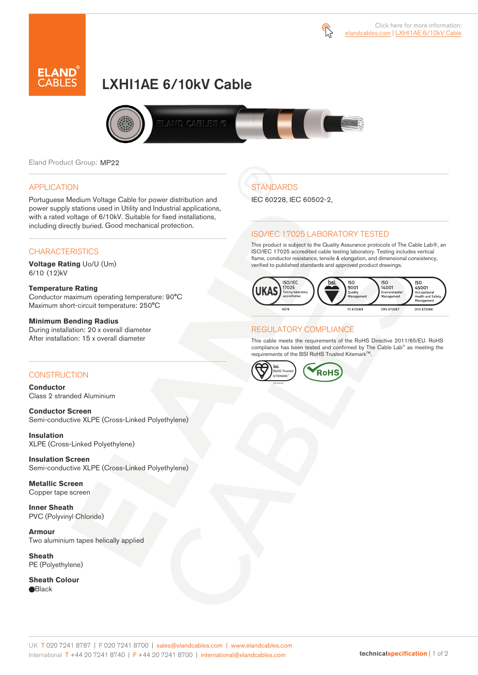



# LXHI1AE 6/10kV Cable



Eland Product Group: MP22

### APPLICATION

Portuguese Medium Voltage Cable for power distribution and power supply stations used in Utility and Industrial applications, with a rated voltage of 6/10kV. Suitable for fixed installations, including directly buried. Good mechanical protection.

### **CHARACTERISTICS**

**Voltage Rating** Uo/U (Um) 6/10 (12)kV

### **Temperature Rating**

Conductor maximum operating temperature: 90°C Maximum short-circuit temperature: 250°C

#### **Minimum Bending Radius**

During installation: 20 x overall diameter After installation: 15 x overall diameter

### **CONSTRUCTION**

**Conductor**  Class 2 stranded Aluminium

**Conductor Screen** Semi-conductive XLPE (Cross-Linked Polyethylene)

**Insulation** XLPE (Cross-Linked Polyethylene)

**Insulation Screen** Semi-conductive XLPE (Cross-Linked Polyethylene)

**Metallic Screen**  Copper tape screen

**Inner Sheath** PVC (Polyvinyl Chloride)

**Armour** Two aluminium tapes helically applied

**Sheath** PE (Polyethylene)

**Sheath Colour Black** 

## **STANDARDS**

IEC 60228, IEC 60502-2,

### ISO/IEC 17025 LABORATORY TESTED

This product is subject to the Quality Assurance protocols of The Cable Lab®, an ISO/IEC 17025 accredited cable testing laboratory. Testing includes vertical flame, conductor resistance, tensile & elongation, and dimensional consistency, verified to published standards and approved product drawings.



### REGULATORY COMPLIANCE

This cable meets the requirements of the RoHS Directive 2011/65/EU. RoHS compliance has been tested and confirmed by The Cable Lab® as meeting the requirements of the BSI RoHS Trusted Kitemark<sup>TM</sup>.